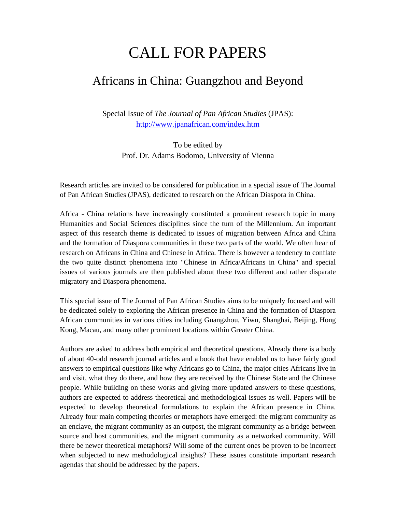## CALL FOR PAPERS

## Africans in China: Guangzhou and Beyond

Special Issue of *The Journal of Pan African Studies* (JPAS): http://www.jpanafrican.com/index.htm

To be edited by Prof. Dr. Adams Bodomo, University of Vienna

Research articles are invited to be considered for publication in a special issue of The Journal of Pan African Studies (JPAS), dedicated to research on the African Diaspora in China.

Africa - China relations have increasingly constituted a prominent research topic in many Humanities and Social Sciences disciplines since the turn of the Millennium. An important aspect of this research theme is dedicated to issues of migration between Africa and China and the formation of Diaspora communities in these two parts of the world. We often hear of research on Africans in China and Chinese in Africa. There is however a tendency to conflate the two quite distinct phenomena into "Chinese in Africa/Africans in China" and special issues of various journals are then published about these two different and rather disparate migratory and Diaspora phenomena.

This special issue of The Journal of Pan African Studies aims to be uniquely focused and will be dedicated solely to exploring the African presence in China and the formation of Diaspora African communities in various cities including Guangzhou, Yiwu, Shanghai, Beijing, Hong Kong, Macau, and many other prominent locations within Greater China.

Authors are asked to address both empirical and theoretical questions. Already there is a body of about 40-odd research journal articles and a book that have enabled us to have fairly good answers to empirical questions like why Africans go to China, the major cities Africans live in and visit, what they do there, and how they are received by the Chinese State and the Chinese people. While building on these works and giving more updated answers to these questions, authors are expected to address theoretical and methodological issues as well. Papers will be expected to develop theoretical formulations to explain the African presence in China. Already four main competing theories or metaphors have emerged: the migrant community as an enclave, the migrant community as an outpost, the migrant community as a bridge between source and host communities, and the migrant community as a networked community. Will there be newer theoretical metaphors? Will some of the current ones be proven to be incorrect when subjected to new methodological insights? These issues constitute important research agendas that should be addressed by the papers.